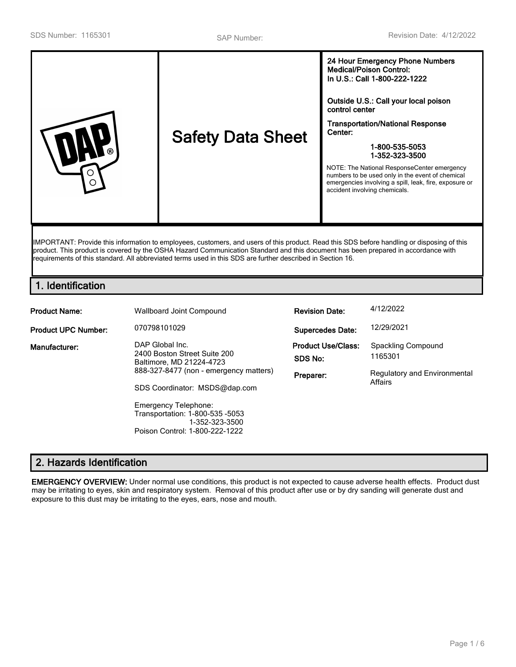|--|

IMPORTANT: Provide this information to employees, customers, and users of this product. Read this SDS before handling or disposing of this product. This product is covered by the OSHA Hazard Communication Standard and this document has been prepared in accordance with requirements of this standard. All abbreviated terms used in this SDS are further described in Section 16.

## **1. Identification**

| <b>Product Name:</b>       | Wallboard Joint Compound                                                                                    | <b>Revision Date:</b>                | 4/12/2022                               |
|----------------------------|-------------------------------------------------------------------------------------------------------------|--------------------------------------|-----------------------------------------|
| <b>Product UPC Number:</b> | 070798101029                                                                                                | <b>Supercedes Date:</b>              | 12/29/2021                              |
| Manufacturer:              | DAP Global Inc.<br>2400 Boston Street Suite 200<br>Baltimore, MD 21224-4723                                 | <b>Product Use/Class:</b><br>SDS No: | Spackling Compound<br>1165301           |
|                            | 888-327-8477 (non - emergency matters)<br>SDS Coordinator: MSDS@dap.com                                     | Preparer:                            | Regulatory and Environmental<br>Affairs |
|                            | Emergency Telephone:<br>Transportation: 1-800-535 -5053<br>1-352-323-3500<br>Poison Control: 1-800-222-1222 |                                      |                                         |

# **2. Hazards Identification**

**EMERGENCY OVERVIEW:** Under normal use conditions, this product is not expected to cause adverse health effects. Product dust may be irritating to eyes, skin and respiratory system. Removal of this product after use or by dry sanding will generate dust and exposure to this dust may be irritating to the eyes, ears, nose and mouth.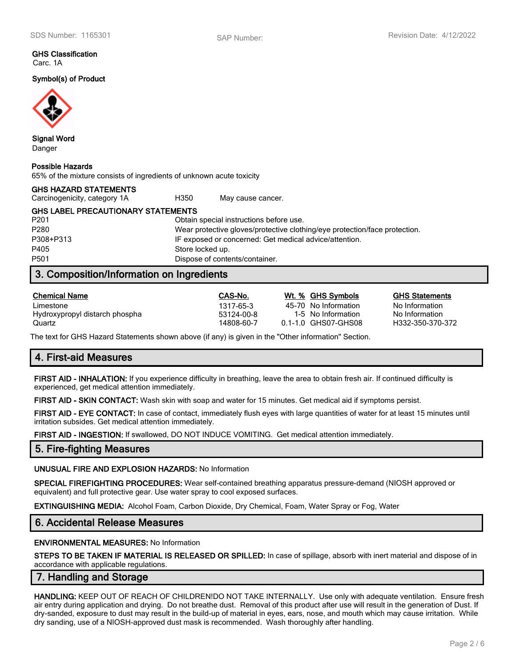#### **GHS Classification** Carc. 1A

**Symbol(s) of Product**



**Signal Word** Danger

#### **Possible Hazards**

65% of the mixture consists of ingredients of unknown acute toxicity

| <b>GHS HAZARD STATEMENTS</b>              |      |                   |
|-------------------------------------------|------|-------------------|
| Carcinogenicity, category 1A              | H350 | May cause cancer. |
| <b>GHS LABEL PRECAUTIONARY STATEMENTS</b> |      |                   |

P201 Obtain special instructions before use. P280 Wear protective gloves/protective clothing/eye protection/face protection. P308+P313 IF exposed or concerned: Get medical advice/attention. P405 Store locked up. P501 Dispose of contents/container.

## **3. Composition/Information on Ingredients**

| <b>Chemical Name</b>           | CAS-No.    | Wt. % GHS Symbols    | <b>GHS Statements</b> |
|--------------------------------|------------|----------------------|-----------------------|
| Limestone                      | 1317-65-3  | 45-70 No Information | No Information        |
| Hydroxypropyl distarch phospha | 53124-00-8 | 1-5 No Information   | No Information        |
| Quartz                         | 14808-60-7 | 0.1-1.0 GHS07-GHS08  | H332-350-370-372      |

The text for GHS Hazard Statements shown above (if any) is given in the "Other information" Section.

## **4. First-aid Measures**

**FIRST AID - INHALATION:** If you experience difficulty in breathing, leave the area to obtain fresh air. If continued difficulty is experienced, get medical attention immediately.

**FIRST AID - SKIN CONTACT:** Wash skin with soap and water for 15 minutes. Get medical aid if symptoms persist.

**FIRST AID - EYE CONTACT:** In case of contact, immediately flush eyes with large quantities of water for at least 15 minutes until irritation subsides. Get medical attention immediately.

**FIRST AID - INGESTION:** If swallowed, DO NOT INDUCE VOMITING. Get medical attention immediately.

### **5. Fire-fighting Measures**

#### **UNUSUAL FIRE AND EXPLOSION HAZARDS:** No Information

**SPECIAL FIREFIGHTING PROCEDURES:** Wear self-contained breathing apparatus pressure-demand (NIOSH approved or equivalent) and full protective gear. Use water spray to cool exposed surfaces.

**EXTINGUISHING MEDIA:** Alcohol Foam, Carbon Dioxide, Dry Chemical, Foam, Water Spray or Fog, Water

### **6. Accidental Release Measures**

#### **ENVIRONMENTAL MEASURES:** No Information

**STEPS TO BE TAKEN IF MATERIAL IS RELEASED OR SPILLED:** In case of spillage, absorb with inert material and dispose of in accordance with applicable regulations.

### **7. Handling and Storage**

**HANDLING:** KEEP OUT OF REACH OF CHILDREN!DO NOT TAKE INTERNALLY. Use only with adequate ventilation. Ensure fresh air entry during application and drying. Do not breathe dust. Removal of this product after use will result in the generation of Dust. If dry-sanded, exposure to dust may result in the build-up of material in eyes, ears, nose, and mouth which may cause irritation. While dry sanding, use of a NIOSH-approved dust mask is recommended. Wash thoroughly after handling.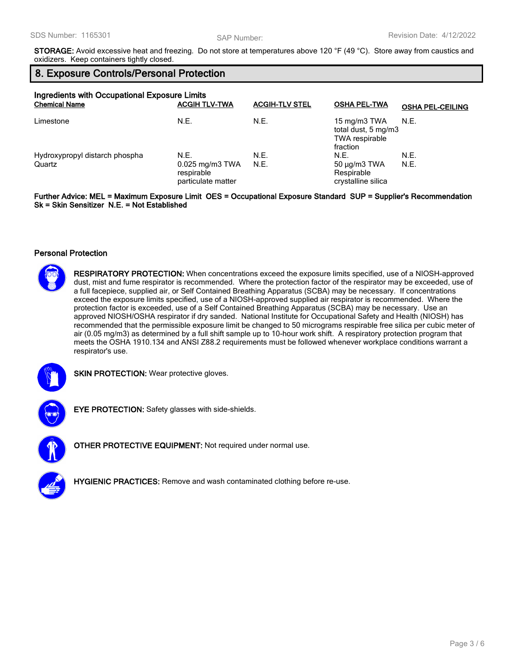**STORAGE:** Avoid excessive heat and freezing. Do not store at temperatures above 120 °F (49 °C). Store away from caustics and oxidizers. Keep containers tightly closed.

## **8. Exposure Controls/Personal Protection**

| Ingredients with Occupational Exposure Limits<br><b>Chemical Name</b> | <b>ACGIH TLV-TWA</b>                                             | <b>ACGIH-TLV STEL</b> | <b>OSHA PEL-TWA</b>                                               | <b>OSHA PEL-CEILING</b> |
|-----------------------------------------------------------------------|------------------------------------------------------------------|-----------------------|-------------------------------------------------------------------|-------------------------|
| Limestone                                                             | N.E.                                                             | N.E.                  | 15 mg/m3 TWA<br>total dust, 5 mg/m3<br>TWA respirable<br>fraction | N.E.                    |
| Hydroxypropyl distarch phospha<br>Quartz                              | N.E.<br>$0.025$ mg/m $3$ TWA<br>respirable<br>particulate matter | N.E.<br>N.E.          | N.E.<br>$50 \mu g/m3$ TWA<br>Respirable<br>crystalline silica     | N.E.<br>N.E.            |

**Further Advice: MEL = Maximum Exposure Limit OES = Occupational Exposure Standard SUP = Supplier's Recommendation Sk = Skin Sensitizer N.E. = Not Established**

#### **Personal Protection**



**RESPIRATORY PROTECTION:** When concentrations exceed the exposure limits specified, use of a NIOSH-approved dust, mist and fume respirator is recommended. Where the protection factor of the respirator may be exceeded, use of a full facepiece, supplied air, or Self Contained Breathing Apparatus (SCBA) may be necessary. If concentrations exceed the exposure limits specified, use of a NIOSH-approved supplied air respirator is recommended. Where the protection factor is exceeded, use of a Self Contained Breathing Apparatus (SCBA) may be necessary. Use an approved NIOSH/OSHA respirator if dry sanded. National Institute for Occupational Safety and Health (NIOSH) has recommended that the permissible exposure limit be changed to 50 micrograms respirable free silica per cubic meter of air (0.05 mg/m3) as determined by a full shift sample up to 10-hour work shift. A respiratory protection program that meets the OSHA 1910.134 and ANSI Z88.2 requirements must be followed whenever workplace conditions warrant a respirator's use.



**SKIN PROTECTION:** Wear protective gloves.



**EYE PROTECTION:** Safety glasses with side-shields.



**OTHER PROTECTIVE EQUIPMENT:** Not required under normal use.



**HYGIENIC PRACTICES:** Remove and wash contaminated clothing before re-use.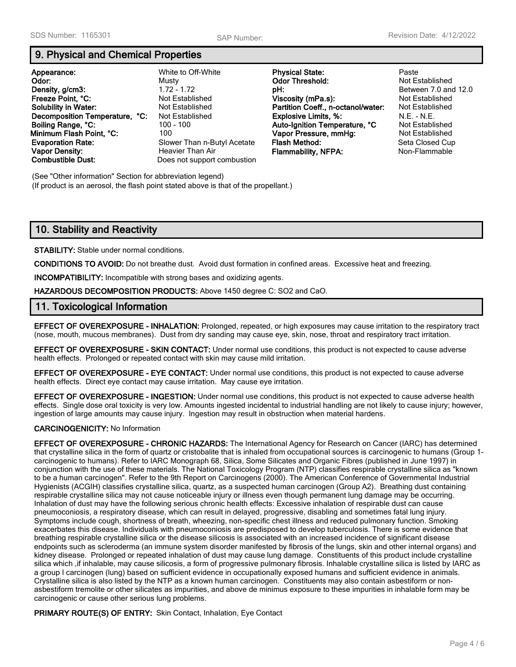### **9. Physical and Chemical Properties**

| Appearance:<br>Odor:<br>Density, g/cm3:<br>Freeze Point, °C:<br><b>Solubility in Water:</b><br>Decomposition Temperature, °C:<br>Boiling Range, °C:<br>Minimum Flash Point, °C:<br><b>Evaporation Rate:</b><br><b>Vapor Density:</b><br><b>Combustible Dust:</b> | White to Off-White<br>Musty<br>$1.72 - 1.72$<br>Not Established<br>Not Established<br>Not Established<br>$100 - 100$<br>100.<br>Slower Than n-Butyl Acetate<br>Heavier Than Air<br>Does not support combustion | <b>Physical State:</b><br><b>Odor Threshold:</b><br>pH:<br>Viscosity (mPa.s):<br>Partition Coeff., n-octanol/water:<br><b>Explosive Limits, %:</b><br>Auto-Ignition Temperature, °C<br>Vapor Pressure, mmHg:<br>Flash Method:<br><b>Flammability, NFPA:</b> | Paste<br><b>Not Established</b><br>Between 7.0 an<br><b>Not Established</b><br><b>Not Established</b><br>$N.E. - N.E.$<br>Not Established<br><b>Not Established</b><br>Seta Closed Cu<br>Non-Flammable |
|------------------------------------------------------------------------------------------------------------------------------------------------------------------------------------------------------------------------------------------------------------------|----------------------------------------------------------------------------------------------------------------------------------------------------------------------------------------------------------------|-------------------------------------------------------------------------------------------------------------------------------------------------------------------------------------------------------------------------------------------------------------|--------------------------------------------------------------------------------------------------------------------------------------------------------------------------------------------------------|
|------------------------------------------------------------------------------------------------------------------------------------------------------------------------------------------------------------------------------------------------------------------|----------------------------------------------------------------------------------------------------------------------------------------------------------------------------------------------------------------|-------------------------------------------------------------------------------------------------------------------------------------------------------------------------------------------------------------------------------------------------------------|--------------------------------------------------------------------------------------------------------------------------------------------------------------------------------------------------------|

**Letween 7.0 and 12.0 Eta Closed Cup** 

(See "Other information" Section for abbreviation legend) (If product is an aerosol, the flash point stated above is that of the propellant.)

## **10. Stability and Reactivity**

**STABILITY:** Stable under normal conditions.

**CONDITIONS TO AVOID:** Do not breathe dust. Avoid dust formation in confined areas. Excessive heat and freezing.

**INCOMPATIBILITY:** Incompatible with strong bases and oxidizing agents.

**HAZARDOUS DECOMPOSITION PRODUCTS:** Above 1450 degree C: SO2 and CaO.

#### **11. Toxicological Information**

**EFFECT OF OVEREXPOSURE - INHALATION:** Prolonged, repeated, or high exposures may cause irritation to the respiratory tract (nose, mouth, mucous membranes). Dust from dry sanding may cause eye, skin, nose, throat and respiratory tract irritation.

**EFFECT OF OVEREXPOSURE - SKIN CONTACT:** Under normal use conditions, this product is not expected to cause adverse health effects. Prolonged or repeated contact with skin may cause mild irritation.

**EFFECT OF OVEREXPOSURE - EYE CONTACT:** Under normal use conditions, this product is not expected to cause adverse health effects. Direct eye contact may cause irritation. May cause eye irritation.

**EFFECT OF OVEREXPOSURE - INGESTION:** Under normal use conditions, this product is not expected to cause adverse health effects. Single dose oral toxicity is very low. Amounts ingested incidental to industrial handling are not likely to cause injury; however, ingestion of large amounts may cause injury. Ingestion may result in obstruction when material hardens.

#### **CARCINOGENICITY:** No Information

**EFFECT OF OVEREXPOSURE - CHRONIC HAZARDS:** The International Agency for Research on Cancer (IARC) has determined that crystalline silica in the form of quartz or cristobalite that is inhaled from occupational sources is carcinogenic to humans (Group 1 carcinogenic to humans). Refer to IARC Monograph 68, Silica, Some Silicates and Organic Fibres (published in June 1997) in conjunction with the use of these materials. The National Toxicology Program (NTP) classifies respirable crystalline silica as "known to be a human carcinogen". Refer to the 9th Report on Carcinogens (2000). The American Conference of Governmental Industrial Hygienists (ACGIH) classifies crystalline silica, quartz, as a suspected human carcinogen (Group A2). Breathing dust containing respirable crystalline silica may not cause noticeable injury or illness even though permanent lung damage may be occurring. Inhalation of dust may have the following serious chronic health effects: Excessive inhalation of respirable dust can cause pneumoconiosis, a respiratory disease, which can result in delayed, progressive, disabling and sometimes fatal lung injury. Symptoms include cough, shortness of breath, wheezing, non-specific chest illness and reduced pulmonary function. Smoking exacerbates this disease. Individuals with pneumoconiosis are predisposed to develop tuberculosis. There is some evidence that breathing respirable crystalline silica or the disease silicosis is associated with an increased incidence of significant disease endpoints such as scleroderma (an immune system disorder manifested by fibrosis of the lungs, skin and other internal organs) and kidney disease. Prolonged or repeated inhalation of dust may cause lung damage. Constituents of this product include crystalline silica which ,if inhalable, may cause silicosis, a form of progressive pulmonary fibrosis. Inhalable crystalline silica is listed by IARC as a group I carcinogen (lung) based on sufficient evidence in occupationally exposed humans and sufficient evidence in animals. Crystalline silica is also listed by the NTP as a known human carcinogen. Constituents may also contain asbestiform or nonasbestiform tremolite or other silicates as impurities, and above de minimus exposure to these impurities in inhalable form may be carcinogenic or cause other serious lung problems.

**PRIMARY ROUTE(S) OF ENTRY:** Skin Contact, Inhalation, Eye Contact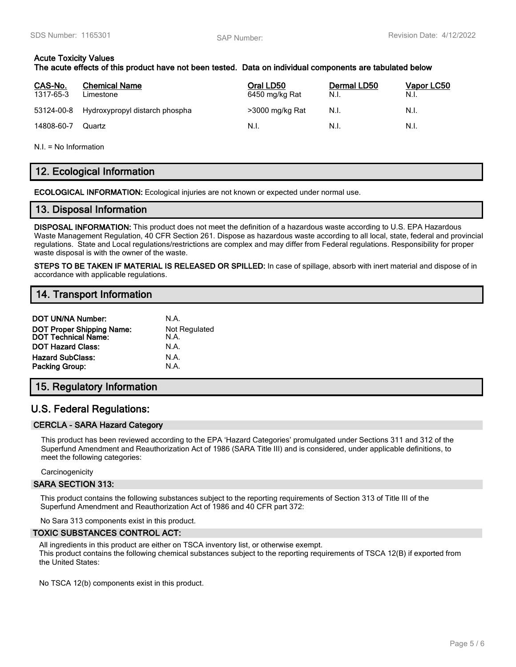### **Acute Toxicity Values**

### **The acute effects of this product have not been tested. Data on individual components are tabulated below**

| CAS-No.<br>1317-65-3 | <b>Chemical Name</b><br>Limestone         | Oral LD50<br>6450 mg/kg Rat | Dermal LD50<br>N.I. | <u>Vapor LC50</u><br>N.I. |
|----------------------|-------------------------------------------|-----------------------------|---------------------|---------------------------|
|                      | 53124-00-8 Hydroxypropyl distarch phospha | >3000 mg/kg Rat             | N.I.                | N.I.                      |
| 14808-60-7           | Quartz                                    | N.I.                        | N.I.                | N.I.                      |

N.I. = No Information

## **12. Ecological Information**

**ECOLOGICAL INFORMATION:** Ecological injuries are not known or expected under normal use.

### **13. Disposal Information**

**DISPOSAL INFORMATION:** This product does not meet the definition of a hazardous waste according to U.S. EPA Hazardous Waste Management Regulation, 40 CFR Section 261. Dispose as hazardous waste according to all local, state, federal and provincial regulations. State and Local regulations/restrictions are complex and may differ from Federal regulations. Responsibility for proper waste disposal is with the owner of the waste.

**STEPS TO BE TAKEN IF MATERIAL IS RELEASED OR SPILLED:** In case of spillage, absorb with inert material and dispose of in accordance with applicable regulations.

### **14. Transport Information**

| <b>DOT UN/NA Number:</b>                                       | N.A.                         |
|----------------------------------------------------------------|------------------------------|
| <b>DOT Proper Shipping Name:</b><br><b>DOT Technical Name:</b> | <b>Not Regulated</b><br>N.A. |
| <b>DOT Hazard Class:</b>                                       | N.A.                         |
| <b>Hazard SubClass:</b>                                        | N.A.                         |
| <b>Packing Group:</b>                                          | N.A.                         |
|                                                                |                              |

### **15. Regulatory Information**

## **U.S. Federal Regulations:**

#### **CERCLA - SARA Hazard Category**

This product has been reviewed according to the EPA 'Hazard Categories' promulgated under Sections 311 and 312 of the Superfund Amendment and Reauthorization Act of 1986 (SARA Title III) and is considered, under applicable definitions, to meet the following categories:

**Carcinogenicity** 

#### **SARA SECTION 313:**

This product contains the following substances subject to the reporting requirements of Section 313 of Title III of the Superfund Amendment and Reauthorization Act of 1986 and 40 CFR part 372:

No Sara 313 components exist in this product.

#### **TOXIC SUBSTANCES CONTROL ACT:**

All ingredients in this product are either on TSCA inventory list, or otherwise exempt. This product contains the following chemical substances subject to the reporting requirements of TSCA 12(B) if exported from the United States:

No TSCA 12(b) components exist in this product.